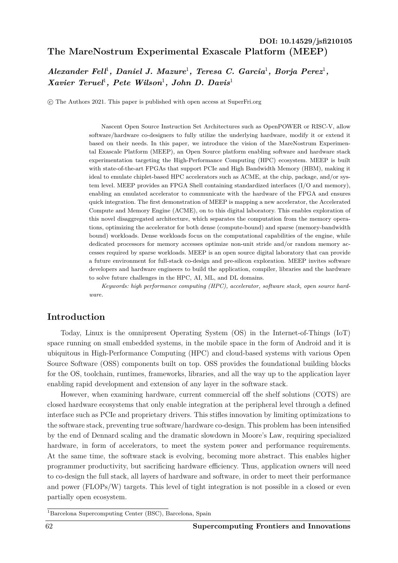# **The MareNostrum Experimental Exascale Platform (MEEP)** DOI: 10.14529/jsfi210105

*Alexander Fell<sup>1</sup>, Daniel J. Mazure<sup>1</sup>, Teresa C. Garcia<sup>1</sup>, Borja Perez<sup>1</sup>, Xavier Teruel*<sup>1</sup> *, Pete Wilson*<sup>1</sup> *, John D. Davis*<sup>1</sup>

c The Authors 2021. This paper is published with open access at SuperFri.org

Nascent Open Source Instruction Set Architectures such as OpenPOWER or RISC-V, allow software/hardware co-designers to fully utilize the underlying hardware, modify it or extend it based on their needs. In this paper, we introduce the vision of the MareNostrum Experimental Exascale Platform (MEEP), an Open Source platform enabling software and hardware stack experimentation targeting the High-Performance Computing (HPC) ecosystem. MEEP is built with state-of-the-art FPGAs that support PCIe and High Bandwidth Memory (HBM), making it ideal to emulate chiplet-based HPC accelerators such as ACME, at the chip, package, and/or system level. MEEP provides an FPGA Shell containing standardized interfaces (I/O and memory), enabling an emulated accelerator to communicate with the hardware of the FPGA and ensures quick integration. The first demonstration of MEEP is mapping a new accelerator, the Accelerated Compute and Memory Engine (ACME), on to this digital laboratory. This enables exploration of this novel disaggregated architecture, which separates the computation from the memory operations, optimizing the accelerator for both dense (compute-bound) and sparse (memory-bandwidth bound) workloads. Dense workloads focus on the computational capabilities of the engine, while dedicated processors for memory accesses optimize non-unit stride and/or random memory accesses required by sparse workloads. MEEP is an open source digital laboratory that can provide a future environment for full-stack co-design and pre-silicon exploration. MEEP invites software developers and hardware engineers to build the application, compiler, libraries and the hardware to solve future challenges in the HPC, AI, ML, and DL domains.

*Keywords: high performance computing (HPC), accelerator, software stack, open source hardware.*

# **Introduction**

Today, Linux is the omnipresent Operating System (OS) in the Internet-of-Things (IoT) space running on small embedded systems, in the mobile space in the form of Android and it is ubiquitous in High-Performance Computing (HPC) and cloud-based systems with various Open Source Software (OSS) components built on top. OSS provides the foundational building blocks for the OS, toolchain, runtimes, frameworks, libraries, and all the way up to the application layer enabling rapid development and extension of any layer in the software stack.

However, when examining hardware, current commercial off the shelf solutions (COTS) are closed hardware ecosystems that only enable integration at the peripheral level through a defined interface such as PCIe and proprietary drivers. This stifles innovation by limiting optimizations to the software stack, preventing true software/hardware co-design. This problem has been intensified by the end of Dennard scaling and the dramatic slowdown in Moore's Law, requiring specialized hardware, in form of accelerators, to meet the system power and performance requirements. At the same time, the software stack is evolving, becoming more abstract. This enables higher programmer productivity, but sacrificing hardware efficiency. Thus, application owners will need to co-design the full stack, all layers of hardware and software, in order to meet their performance and power (FLOPs/W) targets. This level of tight integration is not possible in a closed or even partially open ecosystem.

<sup>1</sup>Barcelona Supercomputing Center (BSC), Barcelona, Spain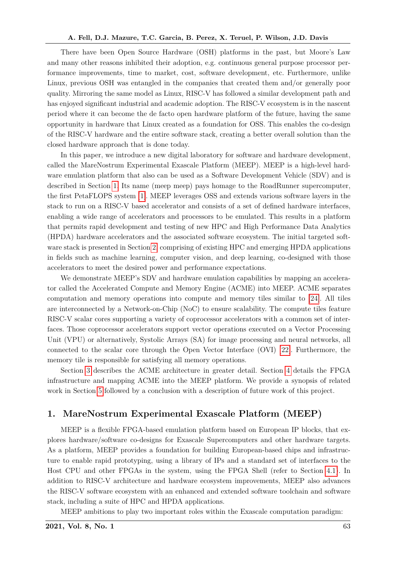There have been Open Source Hardware (OSH) platforms in the past, but Moore's Law and many other reasons inhibited their adoption, e.g. continuous general purpose processor performance improvements, time to market, cost, software development, etc. Furthermore, unlike Linux, previous OSH was entangled in the companies that created them and/or generally poor quality. Mirroring the same model as Linux, RISC-V has followed a similar development path and has enjoyed significant industrial and academic adoption. The RISC-V ecosystem is in the nascent period where it can become the de facto open hardware platform of the future, having the same opportunity in hardware that Linux created as a foundation for OSS. This enables the co-design of the RISC-V hardware and the entire software stack, creating a better overall solution than the closed hardware approach that is done today.

In this paper, we introduce a new digital laboratory for software and hardware development, called the MareNostrum Experimental Exascale Platform (MEEP). MEEP is a high-level hardware emulation platform that also can be used as a Software Development Vehicle (SDV) and is described in Section [1.](#page-1-0) Its name (meep meep) pays homage to the RoadRunner supercomputer, the first PetaFLOPS system [\[1\]](#page-17-0). MEEP leverages OSS and extends various software layers in the stack to run on a RISC-V based accelerator and consists of a set of defined hardware interfaces, enabling a wide range of accelerators and processors to be emulated. This results in a platform that permits rapid development and testing of new HPC and High Performance Data Analytics (HPDA) hardware accelerators and the associated software ecosystem. The initial targeted software stack is presented in Section [2,](#page-2-0) comprising of existing HPC and emerging HPDA applications in fields such as machine learning, computer vision, and deep learning, co-designed with those accelerators to meet the desired power and performance expectations.

We demonstrate MEEP's SDV and hardware emulation capabilities by mapping an accelerator called the Accelerated Compute and Memory Engine (ACME) into MEEP. ACME separates computation and memory operations into compute and memory tiles similar to [\[24\]](#page-19-0). All tiles are interconnected by a Network-on-Chip (NoC) to ensure scalability. The compute tiles feature RISC-V scalar cores supporting a variety of coprocessor accelerators with a common set of interfaces. Those coprocessor accelerators support vector operations executed on a Vector Processing Unit (VPU) or alternatively, Systolic Arrays (SA) for image processing and neural networks, all connected to the scalar core through the Open Vector Interface (OVI) [\[22\]](#page-19-1). Furthermore, the memory tile is responsible for satisfying all memory operations.

Section [3](#page-4-0) describes the ACME architecture in greater detail. Section [4](#page-12-0) details the FPGA infrastructure and mapping ACME into the MEEP platform. We provide a synopsis of related work in Section [5](#page-16-0) followed by a conclusion with a description of future work of this project.

# <span id="page-1-0"></span>**1. MareNostrum Experimental Exascale Platform (MEEP)**

MEEP is a flexible FPGA-based emulation platform based on European IP blocks, that explores hardware/software co-designs for Exascale Supercomputers and other hardware targets. As a platform, MEEP provides a foundation for building European-based chips and infrastructure to enable rapid prototyping, using a library of IPs and a standard set of interfaces to the Host CPU and other FPGAs in the system, using the FPGA Shell (refer to Section [4.1\)](#page-12-1). In addition to RISC-V architecture and hardware ecosystem improvements, MEEP also advances the RISC-V software ecosystem with an enhanced and extended software toolchain and software stack, including a suite of HPC and HPDA applications.

MEEP ambitions to play two important roles within the Exascale computation paradigm: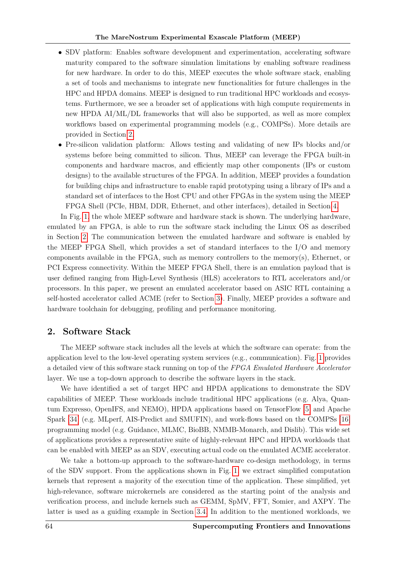- SDV platform: Enables software development and experimentation, accelerating software maturity compared to the software simulation limitations by enabling software readiness for new hardware. In order to do this, MEEP executes the whole software stack, enabling a set of tools and mechanisms to integrate new functionalities for future challenges in the HPC and HPDA domains. MEEP is designed to run traditional HPC workloads and ecosystems. Furthermore, we see a broader set of applications with high compute requirements in new HPDA AI/ML/DL frameworks that will also be supported, as well as more complex workflows based on experimental programming models (e.g., COMPSs). More details are provided in Section [2.](#page-2-0)
- Pre-silicon validation platform: Allows testing and validating of new IPs blocks and/or systems before being committed to silicon. Thus, MEEP can leverage the FPGA built-in components and hardware macros, and efficiently map other components (IPs or custom designs) to the available structures of the FPGA. In addition, MEEP provides a foundation for building chips and infrastructure to enable rapid prototyping using a library of IPs and a standard set of interfaces to the Host CPU and other FPGAs in the system using the MEEP FPGA Shell (PCIe, HBM, DDR, Ethernet, and other interfaces), detailed in Section [4.](#page-12-0)

In Fig. [1,](#page-3-0) the whole MEEP software and hardware stack is shown. The underlying hardware, emulated by an FPGA, is able to run the software stack including the Linux OS as described in Section [2.](#page-2-0) The communication between the emulated hardware and software is enabled by the MEEP FPGA Shell, which provides a set of standard interfaces to the I/O and memory components available in the FPGA, such as memory controllers to the memory(s), Ethernet, or PCI Express connectivity. Within the MEEP FPGA Shell, there is an emulation payload that is user defined ranging from High-Level Synthesis (HLS) accelerators to RTL accelerators and/or processors. In this paper, we present an emulated accelerator based on ASIC RTL containing a self-hosted accelerator called ACME (refer to Section [3\)](#page-4-0). Finally, MEEP provides a software and hardware toolchain for debugging, profiling and performance monitoring.

# <span id="page-2-0"></span>**2. Software Stack**

The MEEP software stack includes all the levels at which the software can operate: from the application level to the low-level operating system services (e.g., communication). Fig. [1](#page-3-0) provides a detailed view of this software stack running on top of the *FPGA Emulated Hardware Accelerator* layer. We use a top-down approach to describe the software layers in the stack.

We have identified a set of target HPC and HPDA applications to demonstrate the SDV capabilities of MEEP. These workloads include traditional HPC applications (e.g. Alya, Quantum Expresso, OpenIFS, and NEMO), HPDA applications based on TensorFlow [\[5\]](#page-17-1) and Apache Spark [\[34\]](#page-19-2) (e.g. MLperf, AIS-Predict and SMUFIN), and work-flows based on the COMPSs [\[16\]](#page-18-0) programming model (e.g. Guidance, MLMC, BioBB, NMMB-Monarch, and Dislib). This wide set of applications provides a representative suite of highly-relevant HPC and HPDA workloads that can be enabled with MEEP as an SDV, executing actual code on the emulated ACME accelerator.

We take a bottom-up approach to the software-hardware co-design methodology, in terms of the SDV support. From the applications shown in Fig. [1,](#page-3-0) we extract simplified computation kernels that represent a majority of the execution time of the application. These simplified, yet high-relevance, software microkernels are considered as the starting point of the analysis and verification process, and include kernels such as GEMM, SpMV, FFT, Somier, and AXPY. The latter is used as a guiding example in Section [3.4.](#page-7-0) In addition to the mentioned workloads, we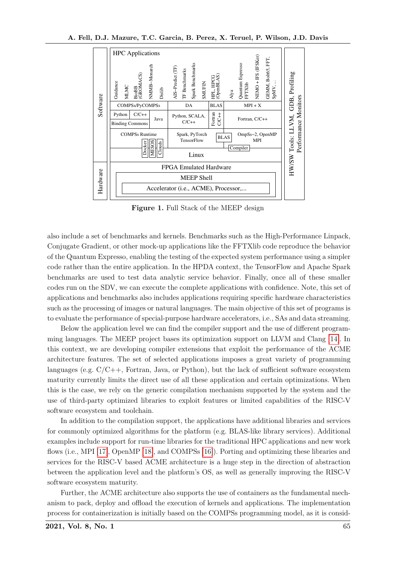<span id="page-3-0"></span>

**Figure 1.** Full Stack of the MEEP design

also include a set of benchmarks and kernels. Benchmarks such as the High-Performance Linpack, Conjugate Gradient, or other mock-up applications like the FFTXlib code reproduce the behavior of the Quantum Expresso, enabling the testing of the expected system performance using a simpler code rather than the entire application. In the HPDA context, the TensorFlow and Apache Spark benchmarks are used to test data analytic service behavior. Finally, once all of these smaller codes run on the SDV, we can execute the complete applications with confidence. Note, this set of applications and benchmarks also includes applications requiring specific hardware characteristics such as the processing of images or natural languages. The main objective of this set of programs is to evaluate the performance of special-purpose hardware accelerators, i.e., SAs and data streaming.

Below the application level we can find the compiler support and the use of different programming languages. The MEEP project bases its optimization support on LLVM and Clang [\[14\]](#page-18-1). In this context, we are developing compiler extensions that exploit the performance of the ACME architecture features. The set of selected applications imposes a great variety of programming languages (e.g.  $C/C++$ , Fortran, Java, or Python), but the lack of sufficient software ecosystem maturity currently limits the direct use of all these application and certain optimizations. When this is the case, we rely on the generic compilation mechanism supported by the system and the use of third-party optimized libraries to exploit features or limited capabilities of the RISC-V software ecosystem and toolchain.

In addition to the compilation support, the applications have additional libraries and services for commonly optimized algorithms for the platform (e.g. BLAS-like library services). Additional examples include support for run-time libraries for the traditional HPC applications and new work flows (i.e., MPI [\[17\]](#page-18-2), OpenMP [\[18\]](#page-19-3), and COMPSs [\[16\]](#page-18-0)). Porting and optimizing these libraries and services for the RISC-V based ACME architecture is a huge step in the direction of abstraction between the application level and the platform's OS, as well as generally improving the RISC-V software ecosystem maturity.

Further, the ACME architecture also supports the use of containers as the fundamental mechanism to pack, deploy and offload the execution of kernels and applications. The implementation process for containerization is initially based on the COMPSs programming model, as it is consid-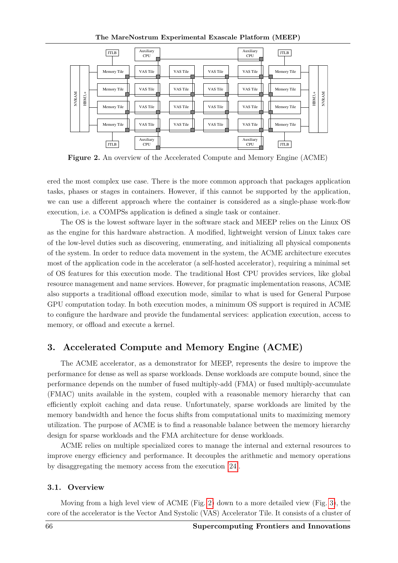The MareNostrum Experimental Exascale Platform (MEEP)

<span id="page-4-1"></span>

**Figure 2.** An overview of the Accelerated Compute and Memory Engine (ACME)

ered the most complex use case. There is the more common approach that packages application tasks, phases or stages in containers. However, if this cannot be supported by the application, we can use a different approach where the container is considered as a single-phase work-flow execution, i.e. a COMPSs application is defined a single task or container.

The OS is the lowest software layer in the software stack and MEEP relies on the Linux OS as the engine for this hardware abstraction. A modified, lightweight version of Linux takes care of the low-level duties such as discovering, enumerating, and initializing all physical components of the system. In order to reduce data movement in the system, the ACME architecture executes most of the application code in the accelerator (a self-hosted accelerator), requiring a minimal set of OS features for this execution mode. The traditional Host CPU provides services, like global resource management and name services. However, for pragmatic implementation reasons, ACME also supports a traditional offload execution mode, similar to what is used for General Purpose GPU computation today. In both execution modes, a minimum OS support is required in ACME to configure the hardware and provide the fundamental services: application execution, access to memory, or offload and execute a kernel.

# <span id="page-4-0"></span>**3. Accelerated Compute and Memory Engine (ACME)**

The ACME accelerator, as a demonstrator for MEEP, represents the desire to improve the performance for dense as well as sparse workloads. Dense workloads are compute bound, since the performance depends on the number of fused multiply-add (FMA) or fused multiply-accumulate (FMAC) units available in the system, coupled with a reasonable memory hierarchy that can efficiently exploit caching and data reuse. Unfortunately, sparse workloads are limited by the memory bandwidth and hence the focus shifts from computational units to maximizing memory utilization. The purpose of ACME is to find a reasonable balance between the memory hierarchy design for sparse workloads and the FMA architecture for dense workloads.

ACME relies on multiple specialized cores to manage the internal and external resources to improve energy efficiency and performance. It decouples the arithmetic and memory operations by disaggregating the memory access from the execution [\[24\]](#page-19-0).

#### **3.1. Overview**

Moving from a high level view of ACME (Fig. [2\)](#page-4-1) down to a more detailed view (Fig. [3\)](#page-5-0), the core of the accelerator is the Vector And Systolic (VAS) Accelerator Tile. It consists of a cluster of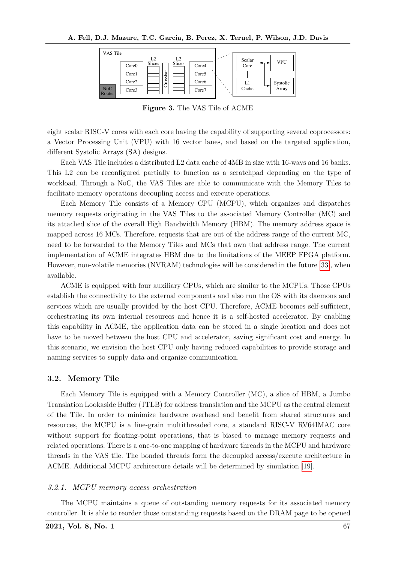<span id="page-5-0"></span>

**Figure 3.** The VAS Tile of ACME

eight scalar RISC-V cores with each core having the capability of supporting several coprocessors: a Vector Processing Unit (VPU) with 16 vector lanes, and based on the targeted application, different Systolic Arrays (SA) designs.

Each VAS Tile includes a distributed L2 data cache of 4MB in size with 16-ways and 16 banks. This L2 can be reconfigured partially to function as a scratchpad depending on the type of workload. Through a NoC, the VAS Tiles are able to communicate with the Memory Tiles to facilitate memory operations decoupling access and execute operations.

Each Memory Tile consists of a Memory CPU (MCPU), which organizes and dispatches memory requests originating in the VAS Tiles to the associated Memory Controller (MC) and its attached slice of the overall High Bandwidth Memory (HBM). The memory address space is mapped across 16 MCs. Therefore, requests that are out of the address range of the current MC, need to be forwarded to the Memory Tiles and MCs that own that address range. The current implementation of ACME integrates HBM due to the limitations of the MEEP FPGA platform. However, non-volatile memories (NVRAM) technologies will be considered in the future [\[33\]](#page-19-4), when available.

ACME is equipped with four auxiliary CPUs, which are similar to the MCPUs. Those CPUs establish the connectivity to the external components and also run the OS with its daemons and services which are usually provided by the host CPU. Therefore, ACME becomes self-sufficient, orchestrating its own internal resources and hence it is a self-hosted accelerator. By enabling this capability in ACME, the application data can be stored in a single location and does not have to be moved between the host CPU and accelerator, saving significant cost and energy. In this scenario, we envision the host CPU only having reduced capabilities to provide storage and naming services to supply data and organize communication.

### **3.2. Memory Tile**

Each Memory Tile is equipped with a Memory Controller (MC), a slice of HBM, a Jumbo Translation Lookaside Buffer (JTLB) for address translation and the MCPU as the central element of the Tile. In order to minimize hardware overhead and benefit from shared structures and resources, the MCPU is a fine-grain multithreaded core, a standard RISC-V RV64IMAC core without support for floating-point operations, that is biased to manage memory requests and related operations. There is a one-to-one mapping of hardware threads in the MCPU and hardware threads in the VAS tile. The bonded threads form the decoupled access/execute architecture in ACME. Additional MCPU architecture details will be determined by simulation [\[19\]](#page-19-5).

#### *3.2.1. MCPU memory access orchestration*

The MCPU maintains a queue of outstanding memory requests for its associated memory controller. It is able to reorder those outstanding requests based on the DRAM page to be opened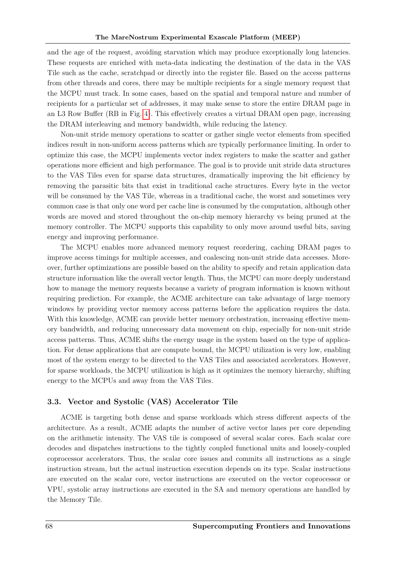and the age of the request, avoiding starvation which may produce exceptionally long latencies. These requests are enriched with meta-data indicating the destination of the data in the VAS Tile such as the cache, scratchpad or directly into the register file. Based on the access patterns from other threads and cores, there may be multiple recipients for a single memory request that the MCPU must track. In some cases, based on the spatial and temporal nature and number of recipients for a particular set of addresses, it may make sense to store the entire DRAM page in an L3 Row Buffer (RB in Fig. [4\)](#page-8-0). This effectively creates a virtual DRAM open page, increasing the DRAM interleaving and memory bandwidth, while reducing the latency.

Non-unit stride memory operations to scatter or gather single vector elements from specified indices result in non-uniform access patterns which are typically performance limiting. In order to optimize this case, the MCPU implements vector index registers to make the scatter and gather operations more efficient and high performance. The goal is to provide unit stride data structures to the VAS Tiles even for sparse data structures, dramatically improving the bit efficiency by removing the parasitic bits that exist in traditional cache structures. Every byte in the vector will be consumed by the VAS Tile, whereas in a traditional cache, the worst and sometimes very common case is that only one word per cache line is consumed by the computation, although other words are moved and stored throughout the on-chip memory hierarchy vs being pruned at the memory controller. The MCPU supports this capability to only move around useful bits, saving energy and improving performance.

The MCPU enables more advanced memory request reordering, caching DRAM pages to improve access timings for multiple accesses, and coalescing non-unit stride data accesses. Moreover, further optimizations are possible based on the ability to specify and retain application data structure information like the overall vector length. Thus, the MCPU can more deeply understand how to manage the memory requests because a variety of program information is known without requiring prediction. For example, the ACME architecture can take advantage of large memory windows by providing vector memory access patterns before the application requires the data. With this knowledge, ACME can provide better memory orchestration, increasing effective memory bandwidth, and reducing unnecessary data movement on chip, especially for non-unit stride access patterns. Thus, ACME shifts the energy usage in the system based on the type of application. For dense applications that are compute bound, the MCPU utilization is very low, enabling most of the system energy to be directed to the VAS Tiles and associated accelerators. However, for sparse workloads, the MCPU utilization is high as it optimizes the memory hierarchy, shifting energy to the MCPUs and away from the VAS Tiles.

### **3.3. Vector and Systolic (VAS) Accelerator Tile**

ACME is targeting both dense and sparse workloads which stress different aspects of the architecture. As a result, ACME adapts the number of active vector lanes per core depending on the arithmetic intensity. The VAS tile is composed of several scalar cores. Each scalar core decodes and dispatches instructions to the tightly coupled functional units and loosely-coupled coprocessor accelerators. Thus, the scalar core issues and commits all instructions as a single instruction stream, but the actual instruction execution depends on its type. Scalar instructions are executed on the scalar core, vector instructions are executed on the vector coprocessor or VPU, systolic array instructions are executed in the SA and memory operations are handled by the Memory Tile.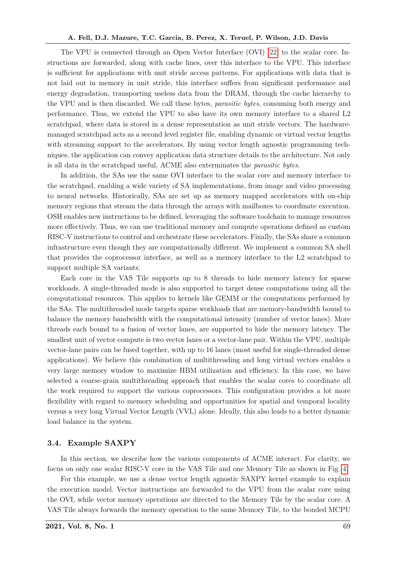The VPU is connected through an Open Vector Interface (OVI) [\[22\]](#page-19-1) to the scalar core. Instructions are forwarded, along with cache lines, over this interface to the VPU. This interface is sufficient for applications with unit stride access patterns. For applications with data that is not laid out in memory in unit stride, this interface suffers from significant performance and energy degradation, transporting useless data from the DRAM, through the cache hierarchy to the VPU and is then discarded. We call these bytes, *parasitic bytes*, consuming both energy and performance. Thus, we extend the VPU to also have its own memory interface to a shared L2 scratchpad, where data is stored in a dense representation as unit stride vectors. The hardwaremanaged scratchpad acts as a second level register file, enabling dynamic or virtual vector lengths with streaming support to the accelerators. By using vector length agnostic programming techniques, the application can convey application data structure details to the architecture. Not only is all data in the scratchpad useful, ACME also exterminates the *parasitic bytes*.

In addition, the SAs use the same OVI interface to the scalar core and memory interface to the scratchpad, enabling a wide variety of SA implementations, from image and video processing to neural networks. Historically, SAs are set up as memory mapped accelerators with on-chip memory regions that stream the data through the arrays with mailboxes to coordinate execution. OSH enables new instructions to be defined, leveraging the software toolchain to manage resources more effectively. Thus, we can use traditional memory and compute operations defined as custom RISC-V instructions to control and orchestrate these accelerators. Finally, the SAs share a common infrastructure even though they are computationally different. We implement a common SA shell that provides the coprocessor interface, as well as a memory interface to the L2 scratchpad to support multiple SA variants.

Each core in the VAS Tile supports up to 8 threads to hide memory latency for sparse workloads. A single-threaded mode is also supported to target dense computations using all the computational resources. This applies to kernels like GEMM or the computations performed by the SAs. The multithreaded mode targets sparse workloads that are memory-bandwidth bound to balance the memory bandwidth with the computational intensity (number of vector lanes). More threads each bound to a fusion of vector lanes, are supported to hide the memory latency. The smallest unit of vector compute is two vector lanes or a vector-lane pair. Within the VPU, multiple vector-lane pairs can be fused together, with up to 16 lanes (most useful for single-threaded dense applications). We believe this combination of multithreading and long virtual vectors enables a very large memory window to maximize HBM utilization and efficiency. In this case, we have selected a coarse-grain multithreading approach that enables the scalar cores to coordinate all the work required to support the various coprocessors. This configuration provides a lot more flexibility with regard to memory scheduling and opportunities for spatial and temporal locality versus a very long Virtual Vector Length (VVL) alone. Ideally, this also leads to a better dynamic load balance in the system.

#### <span id="page-7-0"></span>**3.4. Example SAXPY**

In this section, we describe how the various components of ACME interact. For clarity, we focus on only one scalar RISC-V core in the VAS Tile and one Memory Tile as shown in Fig. [4.](#page-8-0)

For this example, we use a dense vector length agnostic SAXPY kernel example to explain the execution model. Vector instructions are forwarded to the VPU from the scalar core using the OVI, while vector memory operations are directed to the Memory Tile by the scalar core. A VAS Tile always forwards the memory operation to the same Memory Tile, to the bonded MCPU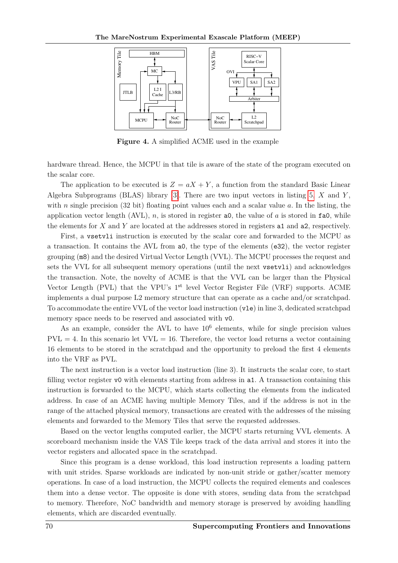<span id="page-8-0"></span>

**Figure 4.** A simplified ACME used in the example

hardware thread. Hence, the MCPU in that tile is aware of the state of the program executed on the scalar core.

The application to be executed is  $Z = aX + Y$ , a function from the standard Basic Linear Algebra Subprograms (BLAS) library [\[3\]](#page-17-2). There are two input vectors in listing [5,](#page-9-0) *X* and *Y* , with *n* single precision (32 bit) floating point values each and a scalar value *a*. In the listing, the application vector length  $(AVL)$ , *n*, is stored in register a0, the value of *a* is stored in fa0, while the elements for *X* and *Y* are located at the addresses stored in registers a1 and a2, respectively.

First, a vsetvli instruction is executed by the scalar core and forwarded to the MCPU as a transaction. It contains the AVL from a0, the type of the elements (e32), the vector register grouping (m8) and the desired Virtual Vector Length (VVL). The MCPU processes the request and sets the VVL for all subsequent memory operations (until the next vsetvli) and acknowledges the transaction. Note, the novelty of ACME is that the VVL can be larger than the Physical Vector Length (PVL) that the VPU's  $1<sup>st</sup>$  level Vector Register File (VRF) supports. ACME implements a dual purpose L2 memory structure that can operate as a cache and/or scratchpad. To accommodate the entire VVL of the vector load instruction (vle) in line 3, dedicated scratchpad memory space needs to be reserved and associated with v0.

As an example, consider the AVL to have  $10<sup>6</sup>$  elements, while for single precision values  $PVL = 4$ . In this scenario let  $VVL = 16$ . Therefore, the vector load returns a vector containing 16 elements to be stored in the scratchpad and the opportunity to preload the first 4 elements into the VRF as PVL.

The next instruction is a vector load instruction (line 3). It instructs the scalar core, to start filling vector register v0 with elements starting from address in a1. A transaction containing this instruction is forwarded to the MCPU, which starts collecting the elements from the indicated address. In case of an ACME having multiple Memory Tiles, and if the address is not in the range of the attached physical memory, transactions are created with the addresses of the missing elements and forwarded to the Memory Tiles that serve the requested addresses.

Based on the vector lengths computed earlier, the MCPU starts returning VVL elements. A scoreboard mechanism inside the VAS Tile keeps track of the data arrival and stores it into the vector registers and allocated space in the scratchpad.

Since this program is a dense workload, this load instruction represents a loading pattern with unit strides. Sparse workloads are indicated by non-unit stride or gather/scatter memory operations. In case of a load instruction, the MCPU collects the required elements and coalesces them into a dense vector. The opposite is done with stores, sending data from the scratchpad to memory. Therefore, NoC bandwidth and memory storage is preserved by avoiding handling elements, which are discarded eventually.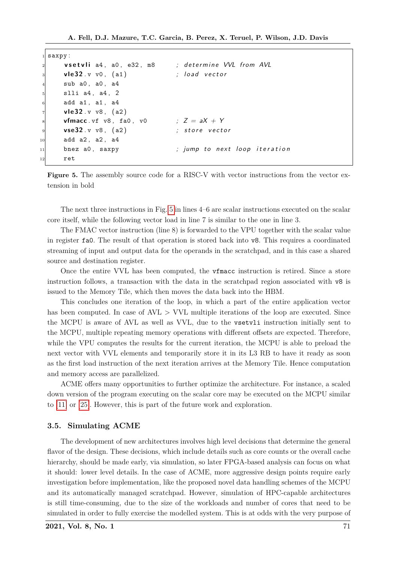```
saxpy:
     v set vli a4, a0, e32, m8 ; determine VVL from AVL
     vle 32. v v0, (a1) ; load vector
     sub a0, a0, a4
     slli a4, a4, 2
     add a1, a1, a4
     vle32 . v v8, (a2)
     vfmacc vf v8, fa0, v0 ; Z = aX + Yvse32 . v v8, (a2) ; store vector
10 add a2, a2, a4
11 bnez a0, saxpy ; jump to next loop iteration
12 ret
```
**Figure 5.** The assembly source code for a RISC-V with vector instructions from the vector extension in bold

The next three instructions in Fig. [5](#page-9-0) in lines 4–6 are scalar instructions executed on the scalar core itself, while the following vector load in line 7 is similar to the one in line 3.

The FMAC vector instruction (line 8) is forwarded to the VPU together with the scalar value in register fa0. The result of that operation is stored back into v8. This requires a coordinated streaming of input and output data for the operands in the scratchpad, and in this case a shared source and destination register.

Once the entire VVL has been computed, the vfmacc instruction is retired. Since a store instruction follows, a transaction with the data in the scratchpad region associated with v8 is issued to the Memory Tile, which then moves the data back into the HBM.

This concludes one iteration of the loop, in which a part of the entire application vector has been computed. In case of AVL *>* VVL multiple iterations of the loop are executed. Since the MCPU is aware of AVL as well as VVL, due to the vsetvli instruction initially sent to the MCPU, multiple repeating memory operations with different offsets are expected. Therefore, while the VPU computes the results for the current iteration, the MCPU is able to preload the next vector with VVL elements and temporarily store it in its L3 RB to have it ready as soon as the first load instruction of the next iteration arrives at the Memory Tile. Hence computation and memory access are parallelized.

ACME offers many opportunities to further optimize the architecture. For instance, a scaled down version of the program executing on the scalar core may be executed on the MCPU similar to [\[11\]](#page-18-3) or [\[25\]](#page-19-6). However, this is part of the future work and exploration.

#### **3.5. Simulating ACME**

The development of new architectures involves high level decisions that determine the general flavor of the design. These decisions, which include details such as core counts or the overall cache hierarchy, should be made early, via simulation, so later FPGA-based analysis can focus on what it should: lower level details. In the case of ACME, more aggressive design points require early investigation before implementation, like the proposed novel data handling schemes of the MCPU and its automatically managed scratchpad. However, simulation of HPC-capable architectures is still time-consuming, due to the size of the workloads and number of cores that need to be simulated in order to fully exercise the modelled system. This is at odds with the very purpose of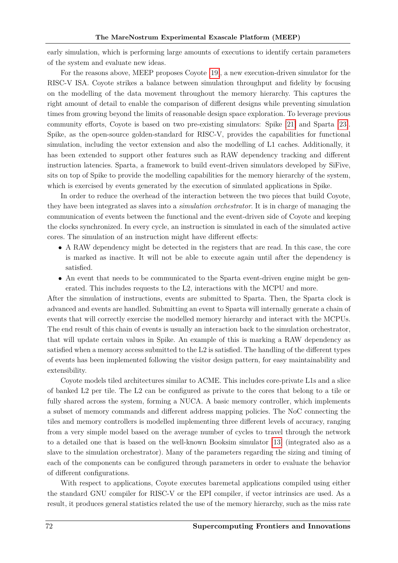early simulation, which is performing large amounts of executions to identify certain parameters of the system and evaluate new ideas.

For the reasons above, MEEP proposes Coyote [\[19\]](#page-19-5), a new execution-driven simulator for the RISC-V ISA. Coyote strikes a balance between simulation throughput and fidelity by focusing on the modelling of the data movement throughout the memory hierarchy. This captures the right amount of detail to enable the comparison of different designs while preventing simulation times from growing beyond the limits of reasonable design space exploration. To leverage previous community efforts, Coyote is based on two pre-existing simulators: Spike [\[21\]](#page-19-7) and Sparta [\[23\]](#page-19-8). Spike, as the open-source golden-standard for RISC-V, provides the capabilities for functional simulation, including the vector extension and also the modelling of L1 caches. Additionally, it has been extended to support other features such as RAW dependency tracking and different instruction latencies. Sparta, a framework to build event-driven simulators developed by SiFive, sits on top of Spike to provide the modelling capabilities for the memory hierarchy of the system, which is exercised by events generated by the execution of simulated applications in Spike.

In order to reduce the overhead of the interaction between the two pieces that build Coyote, they have been integrated as slaves into a *simulation orchestrator*. It is in charge of managing the communication of events between the functional and the event-driven side of Coyote and keeping the clocks synchronized. In every cycle, an instruction is simulated in each of the simulated active cores. The simulation of an instruction might have different effects:

- A RAW dependency might be detected in the registers that are read. In this case, the core is marked as inactive. It will not be able to execute again until after the dependency is satisfied.
- An event that needs to be communicated to the Sparta event-driven engine might be generated. This includes requests to the L2, interactions with the MCPU and more.

After the simulation of instructions, events are submitted to Sparta. Then, the Sparta clock is advanced and events are handled. Submitting an event to Sparta will internally generate a chain of events that will correctly exercise the modelled memory hierarchy and interact with the MCPUs. The end result of this chain of events is usually an interaction back to the simulation orchestrator, that will update certain values in Spike. An example of this is marking a RAW dependency as satisfied when a memory access submitted to the L2 is satisfied. The handling of the different types of events has been implemented following the visitor design pattern, for easy maintainability and extensibility.

Coyote models tiled architectures similar to ACME. This includes core-private L1s and a slice of banked L2 per tile. The L2 can be configured as private to the cores that belong to a tile or fully shared across the system, forming a NUCA. A basic memory controller, which implements a subset of memory commands and different address mapping policies. The NoC connecting the tiles and memory controllers is modelled implementing three different levels of accuracy, ranging from a very simple model based on the average number of cycles to travel through the network to a detailed one that is based on the well-known Booksim simulator [\[13\]](#page-18-4) (integrated also as a slave to the simulation orchestrator). Many of the parameters regarding the sizing and timing of each of the components can be configured through parameters in order to evaluate the behavior of different configurations.

With respect to applications, Coyote executes baremetal applications compiled using either the standard GNU compiler for RISC-V or the EPI compiler, if vector intrinsics are used. As a result, it produces general statistics related the use of the memory hierarchy, such as the miss rate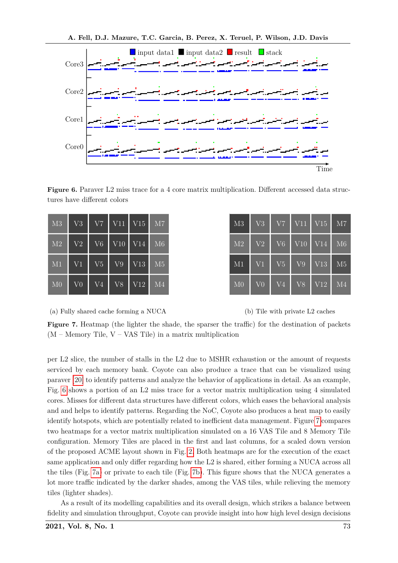<span id="page-11-0"></span>

**Figure 6.** Paraver L2 miss trace for a 4 core matrix multiplication. Different accessed data structures have different colors

<span id="page-11-1"></span>

| M3             | V <sub>3</sub> | V7                     | V11 | V15             | M7             |
|----------------|----------------|------------------------|-----|-----------------|----------------|
| M <sub>2</sub> | V <sub>2</sub> | $\overline{\text{V6}}$ | V10 | V14             | M6             |
| M1             | V <sub>1</sub> | V5                     | V9  | V13             | M5             |
| M <sub>0</sub> | V <sub>0</sub> | V <sub>4</sub>         | V8  | V <sub>12</sub> | M <sub>4</sub> |

| M3             | V <sub>3</sub> | V <sub>7</sub> | V11                   | V15 | M7             |
|----------------|----------------|----------------|-----------------------|-----|----------------|
| M <sub>2</sub> | V <sub>2</sub> | V <sub>6</sub> | $\rm{V}\overline{10}$ | V14 | M6             |
| M1             | V <sub>1</sub> | V <sub>5</sub> | V9                    | V13 | M <sub>5</sub> |
| M <sub>0</sub> | V <sub>0</sub> | V <sub>4</sub> | V8                    | V12 | M <sub>4</sub> |

(a) Fully shared cache forming a NUCA



**Figure 7.** Heatmap (the lighter the shade, the sparser the traffic) for the destination of packets (M – Memory Tile, V – VAS Tile) in a matrix multiplication

per L2 slice, the number of stalls in the L2 due to MSHR exhaustion or the amount of requests serviced by each memory bank. Coyote can also produce a trace that can be visualized using paraver [\[20\]](#page-19-9) to identify patterns and analyze the behavior of applications in detail. As an example, Fig. [6](#page-11-0) shows a portion of an L2 miss trace for a vector matrix multiplication using 4 simulated cores. Misses for different data structures have different colors, which eases the behavioral analysis and and helps to identify patterns. Regarding the NoC, Coyote also produces a heat map to easily identify hotspots, which are potentially related to inefficient data management. Figure [7](#page-11-1) compares two heatmaps for a vector matrix multiplication simulated on a 16 VAS Tile and 8 Memory Tile configuration. Memory Tiles are placed in the first and last columns, for a scaled down version of the proposed ACME layout shown in Fig. [2.](#page-4-1) Both heatmaps are for the execution of the exact same application and only differ regarding how the L2 is shared, either forming a NUCA across all the tiles (Fig. [7a\)](#page-11-1) or private to each tile (Fig. [7b\)](#page-11-1). This figure shows that the NUCA generates a lot more traffic indicated by the darker shades, among the VAS tiles, while relieving the memory tiles (lighter shades).

As a result of its modelling capabilities and its overall design, which strikes a balance between fidelity and simulation throughput, Coyote can provide insight into how high level design decisions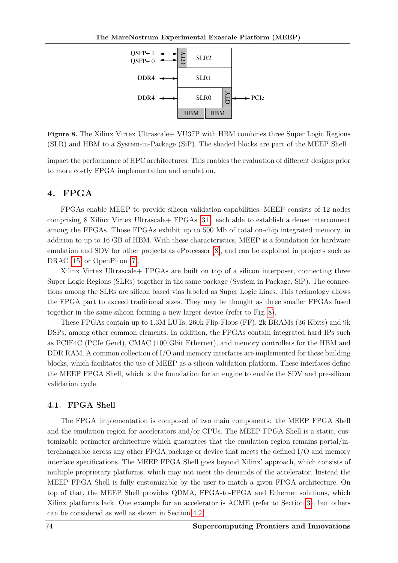<span id="page-12-2"></span>

**Figure 8.** The Xilinx Virtex Ultrascale+ VU37P with HBM combines three Super Logic Regions (SLR) and HBM to a System-in-Package (SiP). The shaded blocks are part of the MEEP Shell

impact the performance of HPC architectures. This enables the evaluation of different designs prior to more costly FPGA implementation and emulation.

### <span id="page-12-0"></span>**4. FPGA**

FPGAs enable MEEP to provide silicon validation capabilities. MEEP consists of 12 nodes comprising 8 Xilinx Virtex Ultrascale+ FPGAs [\[31\]](#page-19-10), each able to establish a dense interconnect among the FPGAs. Those FPGAs exhibit up to 500 Mb of total on-chip integrated memory, in addition to up to 16 GB of HBM. With these characteristics, MEEP is a foundation for hardware emulation and SDV for other projects as eProcessor [\[8\]](#page-18-5), and can be exploited in projects such as DRAC [\[15\]](#page-18-6) or OpenPiton [\[7\]](#page-18-7).

Xilinx Virtex Ultrascale+ FPGAs are built on top of a silicon interposer, connecting three Super Logic Regions (SLRs) together in the same package (System in Package, SiP). The connections among the SLRs are silicon based vias labeled as Super Logic Lines. This technology allows the FPGA part to exceed traditional sizes. They may be thought as three smaller FPGAs fused together in the same silicon forming a new larger device (refer to Fig. [8\)](#page-12-2).

These FPGAs contain up to 1.3M LUTs, 260k Flip-Flops (FF), 2k BRAMs (36 Kbits) and 9k DSPs, among other common elements. In addition, the FPGAs contain integrated hard IPs such as PCIE4C (PCIe Gen4), CMAC (100 Gbit Ethernet), and memory controllers for the HBM and DDR RAM. A common collection of I/O and memory interfaces are implemented for these building blocks, which facilitates the use of MEEP as a silicon validation platform. These interfaces define the MEEP FPGA Shell, which is the foundation for an engine to enable the SDV and pre-silicon validation cycle.

### <span id="page-12-1"></span>**4.1. FPGA Shell**

The FPGA implementation is composed of two main components: the MEEP FPGA Shell and the emulation region for accelerators and/or CPUs. The MEEP FPGA Shell is a static, customizable perimeter architecture which guarantees that the emulation region remains portal/interchangeable across any other FPGA package or device that meets the defined I/O and memory interface specifications. The MEEP FPGA Shell goes beyond Xilinx' approach, which consists of multiple proprietary platforms, which may not meet the demands of the accelerator. Instead the MEEP FPGA Shell is fully customizable by the user to match a given FPGA architecture. On top of that, the MEEP Shell provides QDMA, FPGA-to-FPGA and Ethernet solutions, which Xilinx platforms lack. One example for an accelerator is ACME (refer to Section [3\)](#page-4-0), but others can be considered as well as shown in Section [4.2.](#page-15-0)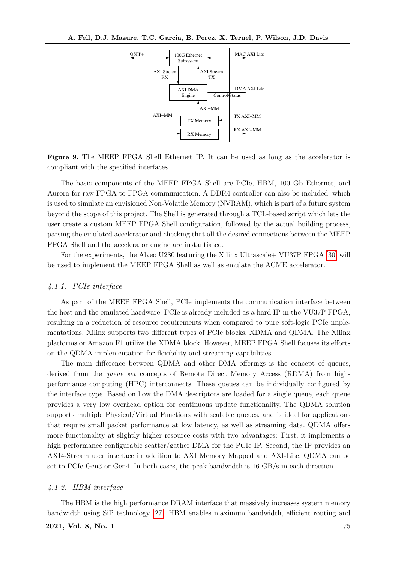<span id="page-13-0"></span>

**Figure 9.** The MEEP FPGA Shell Ethernet IP. It can be used as long as the accelerator is compliant with the specified interfaces

The basic components of the MEEP FPGA Shell are PCIe, HBM, 100 Gb Ethernet, and Aurora for raw FPGA-to-FPGA communication. A DDR4 controller can also be included, which is used to simulate an envisioned Non-Volatile Memory (NVRAM), which is part of a future system beyond the scope of this project. The Shell is generated through a TCL-based script which lets the user create a custom MEEP FPGA Shell configuration, followed by the actual building process, parsing the emulated accelerator and checking that all the desired connections between the MEEP FPGA Shell and the accelerator engine are instantiated.

For the experiments, the Alveo U280 featuring the Xilinx Ultrascale+ VU37P FPGA [\[30\]](#page-19-11) will be used to implement the MEEP FPGA Shell as well as emulate the ACME accelerator.

#### *4.1.1. PCIe interface*

As part of the MEEP FPGA Shell, PCIe implements the communication interface between the host and the emulated hardware. PCIe is already included as a hard IP in the VU37P FPGA, resulting in a reduction of resource requirements when compared to pure soft-logic PCIe implementations. Xilinx supports two different types of PCIe blocks, XDMA and QDMA. The Xilinx platforms or Amazon F1 utilize the XDMA block. However, MEEP FPGA Shell focuses its efforts on the QDMA implementation for flexibility and streaming capabilities.

The main difference between QDMA and other DMA offerings is the concept of queues, derived from the *queue set* concepts of Remote Direct Memory Access (RDMA) from highperformance computing (HPC) interconnects. These queues can be individually configured by the interface type. Based on how the DMA descriptors are loaded for a single queue, each queue provides a very low overhead option for continuous update functionality. The QDMA solution supports multiple Physical/Virtual Functions with scalable queues, and is ideal for applications that require small packet performance at low latency, as well as streaming data. QDMA offers more functionality at slightly higher resource costs with two advantages: First, it implements a high performance configurable scatter/gather DMA for the PCIe IP. Second, the IP provides an AXI4-Stream user interface in addition to AXI Memory Mapped and AXI-Lite. QDMA can be set to PCIe Gen3 or Gen4. In both cases, the peak bandwidth is 16 GB/s in each direction.

#### *4.1.2. HBM interface*

The HBM is the high performance DRAM interface that massively increases system memory bandwidth using SiP technology [\[27\]](#page-19-12). HBM enables maximum bandwidth, efficient routing and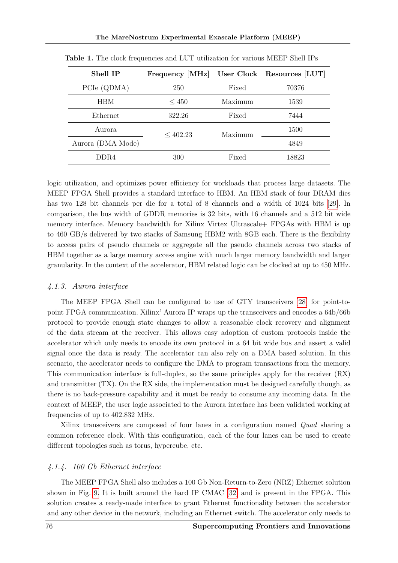| Shell IP          | Frequency [MHz] |         | User Clock Resources [LUT] |
|-------------------|-----------------|---------|----------------------------|
| PCIe (QDMA)       | Fixed<br>250    |         | 70376                      |
| <b>HBM</b>        | < 450           | Maximum | 1539                       |
| Ethernet          | 322.26          | Fixed   | 7444                       |
| Aurora            | $<$ 402.23      | Maximum | 1500                       |
| Aurora (DMA Mode) |                 |         | 4849                       |
| DDR4              | 300             | Fixed   | 18823                      |

<span id="page-14-0"></span>**Table 1.** The clock frequencies and LUT utilization for various MEEP Shell IPs

logic utilization, and optimizes power efficiency for workloads that process large datasets. The MEEP FPGA Shell provides a standard interface to HBM. An HBM stack of four DRAM dies has two 128 bit channels per die for a total of 8 channels and a width of 1024 bits [\[29\]](#page-19-13). In comparison, the bus width of GDDR memories is 32 bits, with 16 channels and a 512 bit wide memory interface. Memory bandwidth for Xilinx Virtex Ultrascale+ FPGAs with HBM is up to 460 GB/s delivered by two stacks of Samsung HBM2 with 8GB each. There is the flexibility to access pairs of pseudo channels or aggregate all the pseudo channels across two stacks of HBM together as a large memory access engine with much larger memory bandwidth and larger granularity. In the context of the accelerator, HBM related logic can be clocked at up to 450 MHz.

#### *4.1.3. Aurora interface*

The MEEP FPGA Shell can be configured to use of GTY transceivers [\[28\]](#page-19-14) for point-topoint FPGA communication. Xilinx' Aurora IP wraps up the transceivers and encodes a 64b/66b protocol to provide enough state changes to allow a reasonable clock recovery and alignment of the data stream at the receiver. This allows easy adoption of custom protocols inside the accelerator which only needs to encode its own protocol in a 64 bit wide bus and assert a valid signal once the data is ready. The accelerator can also rely on a DMA based solution. In this scenario, the accelerator needs to configure the DMA to program transactions from the memory. This communication interface is full-duplex, so the same principles apply for the receiver (RX) and transmitter (TX). On the RX side, the implementation must be designed carefully though, as there is no back-pressure capability and it must be ready to consume any incoming data. In the context of MEEP, the user logic associated to the Aurora interface has been validated working at frequencies of up to 402.832 MHz.

Xilinx transceivers are composed of four lanes in a configuration named *Quad* sharing a common reference clock. With this configuration, each of the four lanes can be used to create different topologies such as torus, hypercube, etc.

#### *4.1.4. 100 Gb Ethernet interface*

The MEEP FPGA Shell also includes a 100 Gb Non-Return-to-Zero (NRZ) Ethernet solution shown in Fig. [9.](#page-13-0) It is built around the hard IP CMAC [\[32\]](#page-19-15) and is present in the FPGA. This solution creates a ready-made interface to grant Ethernet functionality between the accelerator and any other device in the network, including an Ethernet switch. The accelerator only needs to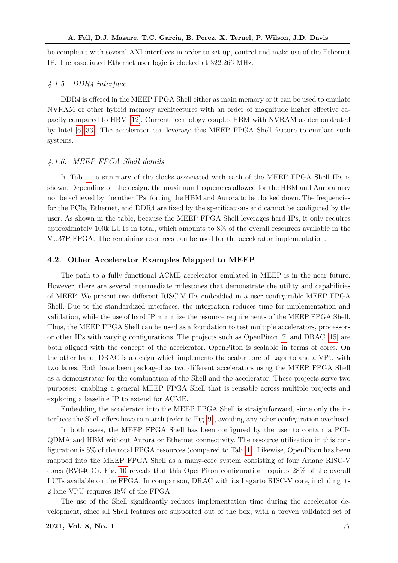be compliant with several AXI interfaces in order to set-up, control and make use of the Ethernet IP. The associated Ethernet user logic is clocked at 322.266 MHz.

#### *4.1.5. DDR4 interface*

DDR4 is offered in the MEEP FPGA Shell either as main memory or it can be used to emulate NVRAM or other hybrid memory architectures with an order of magnitude higher effective capacity compared to HBM [\[12\]](#page-18-8). Current technology couples HBM with NVRAM as demonstrated by Intel [\[6,](#page-18-9) [33\]](#page-19-4). The accelerator can leverage this MEEP FPGA Shell feature to emulate such systems.

#### *4.1.6. MEEP FPGA Shell details*

In Tab. [1,](#page-14-0) a summary of the clocks associated with each of the MEEP FPGA Shell IPs is shown. Depending on the design, the maximum frequencies allowed for the HBM and Aurora may not be achieved by the other IPs, forcing the HBM and Aurora to be clocked down. The frequencies for the PCIe, Ethernet, and DDR4 are fixed by the specifications and cannot be configured by the user. As shown in the table, because the MEEP FPGA Shell leverages hard IPs, it only requires approximately 100k LUTs in total, which amounts to 8% of the overall resources available in the VU37P FPGA. The remaining resources can be used for the accelerator implementation.

#### <span id="page-15-0"></span>**4.2. Other Accelerator Examples Mapped to MEEP**

The path to a fully functional ACME accelerator emulated in MEEP is in the near future. However, there are several intermediate milestones that demonstrate the utility and capabilities of MEEP. We present two different RISC-V IPs embedded in a user configurable MEEP FPGA Shell. Due to the standardized interfaces, the integration reduces time for implementation and validation, while the use of hard IP minimize the resource requirements of the MEEP FPGA Shell. Thus, the MEEP FPGA Shell can be used as a foundation to test multiple accelerators, processors or other IPs with varying configurations. The projects such as OpenPiton [\[7\]](#page-18-7) and DRAC [\[15\]](#page-18-6) are both aligned with the concept of the accelerator. OpenPiton is scalable in terms of cores. On the other hand, DRAC is a design which implements the scalar core of Lagarto and a VPU with two lanes. Both have been packaged as two different accelerators using the MEEP FPGA Shell as a demonstrator for the combination of the Shell and the accelerator. These projects serve two purposes: enabling a general MEEP FPGA Shell that is reusable across multiple projects and exploring a baseline IP to extend for ACME.

Embedding the accelerator into the MEEP FPGA Shell is straightforward, since only the interfaces the Shell offers have to match (refer to Fig. [9\)](#page-13-0), avoiding any other configuration overhead.

In both cases, the MEEP FPGA Shell has been configured by the user to contain a PCIe QDMA and HBM without Aurora or Ethernet connectivity. The resource utilization in this configuration is 5% of the total FPGA resources (compared to Tab. [1\)](#page-14-0). Likewise, OpenPiton has been mapped into the MEEP FPGA Shell as a many-core system consisting of four Ariane RISC-V cores (RV64GC). Fig. [10](#page-16-1) reveals that this OpenPiton configuration requires 28% of the overall LUTs available on the FPGA. In comparison, DRAC with its Lagarto RISC-V core, including its 2-lane VPU requires 18% of the FPGA.

The use of the Shell significantly reduces implementation time during the accelerator development, since all Shell features are supported out of the box, with a proven validated set of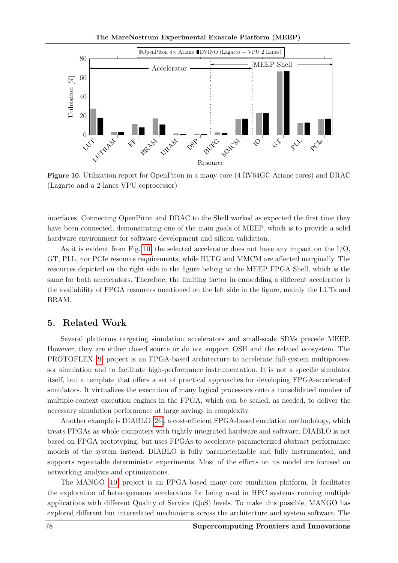The MareNostrum Experimental Exascale Platform (MEEP)

<span id="page-16-1"></span>

**Figure 10.** Utilization report for OpenPiton in a many-core (4 RV64GC Ariane cores) and DRAC (Lagarto and a 2-lanes VPU coprocessor)

interfaces. Connecting OpenPiton and DRAC to the Shell worked as expected the first time they have been connected, demonstrating one of the main goals of MEEP, which is to provide a solid hardware environment for software development and silicon validation.

As it is evident from Fig. [10,](#page-16-1) the selected accelerator does not have any impact on the  $I/O$ , GT, PLL, nor PCIe resource requirements, while BUFG and MMCM are affected marginally. The resources depicted on the right side in the figure belong to the MEEP FPGA Shell, which is the same for both accelerators. Therefore, the limiting factor in embedding a different accelerator is the availability of FPGA resources mentioned on the left side in the figure, mainly the LUTs and BRAM.

### <span id="page-16-0"></span>**5. Related Work**

Several platforms targeting simulation accelerators and small-scale SDVs precede MEEP. However, they are either closed source or do not support OSH and the related ecosystem. The PROTOFLEX [\[9\]](#page-18-10) project is an FPGA-based architecture to accelerate full-system multiprocessor simulation and to facilitate high-performance instrumentation. It is not a specific simulator itself, but a template that offers a set of practical approaches for developing FPGA-accelerated simulators. It virtualizes the execution of many logical processors onto a consolidated number of multiple-context execution engines in the FPGA, which can be scaled, as needed, to deliver the necessary simulation performance at large savings in complexity.

Another example is DIABLO [\[26\]](#page-19-16), a cost-efficient FPGA-based emulation methodology, which treats FPGAs as whole computers with tightly integrated hardware and software. DIABLO is not based on FPGA prototyping, but uses FPGAs to accelerate parameterized abstract performance models of the system instead. DIABLO is fully parameterizable and fully instrumented, and supports repeatable deterministic experiments. Most of the efforts on its model are focused on networking analysis and optimizations.

The MANGO [\[10\]](#page-18-11) project is an FPGA-based many-core emulation platform. It facilitates the exploration of heterogeneous accelerators for being used in HPC systems running multiple applications with different Quality of Service (QoS) levels. To make this possible, MANGO has explored different but interrelated mechanisms across the architecture and system software. The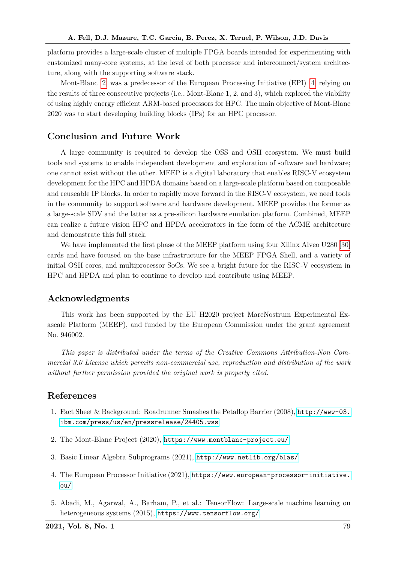platform provides a large-scale cluster of multiple FPGA boards intended for experimenting with customized many-core systems, at the level of both processor and interconnect/system architecture, along with the supporting software stack.

Mont-Blanc [\[2\]](#page-17-3) was a predecessor of the European Processing Initiative (EPI) [\[4\]](#page-17-4) relying on the results of three consecutive projects (i.e., Mont-Blanc 1, 2, and 3), which explored the viability of using highly energy efficient ARM-based processors for HPC. The main objective of Mont-Blanc 2020 was to start developing building blocks (IPs) for an HPC processor.

### **Conclusion and Future Work**

A large community is required to develop the OSS and OSH ecosystem. We must build tools and systems to enable independent development and exploration of software and hardware; one cannot exist without the other. MEEP is a digital laboratory that enables RISC-V ecosystem development for the HPC and HPDA domains based on a large-scale platform based on composable and reuseable IP blocks. In order to rapidly move forward in the RISC-V ecosystem, we need tools in the community to support software and hardware development. MEEP provides the former as a large-scale SDV and the latter as a pre-silicon hardware emulation platform. Combined, MEEP can realize a future vision HPC and HPDA accelerators in the form of the ACME architecture and demonstrate this full stack.

We have implemented the first phase of the MEEP platform using four Xilinx Alveo U280 [\[30\]](#page-19-11) cards and have focused on the base infrastructure for the MEEP FPGA Shell, and a variety of initial OSH cores, and multiprocessor SoCs. We see a bright future for the RISC-V ecosystem in HPC and HPDA and plan to continue to develop and contribute using MEEP.

# **Acknowledgments**

This work has been supported by the EU H2020 project MareNostrum Experimental Exascale Platform (MEEP), and funded by the European Commission under the grant agreement No. 946002.

*This paper is distributed under the terms of the Creative Commons Attribution-Non Commercial 3.0 License which permits non-commercial use, reproduction and distribution of the work without further permission provided the original work is properly cited.*

## <span id="page-17-0"></span>**References**

- 1. Fact Sheet & Background: Roadrunner Smashes the Petaflop Barrier (2008), [http://www-03.](http://www-03.ibm.com/press/us/en/pressrelease/24405.wss) [ibm.com/press/us/en/pressrelease/24405.wss](http://www-03.ibm.com/press/us/en/pressrelease/24405.wss)
- <span id="page-17-3"></span>2. The Mont-Blanc Project (2020), <https://www.montblanc-project.eu/>
- <span id="page-17-2"></span>3. Basic Linear Algebra Subprograms (2021), <http://www.netlib.org/blas/>
- <span id="page-17-4"></span>4. The European Processor Initiative (2021), [https://www.european-processor-initiative.](https://www.european-processor-initiative.eu/) [eu/](https://www.european-processor-initiative.eu/)
- <span id="page-17-1"></span>5. Abadi, M., Agarwal, A., Barham, P., et al.: TensorFlow: Large-scale machine learning on heterogeneous systems (2015), <https://www.tensorflow.org/>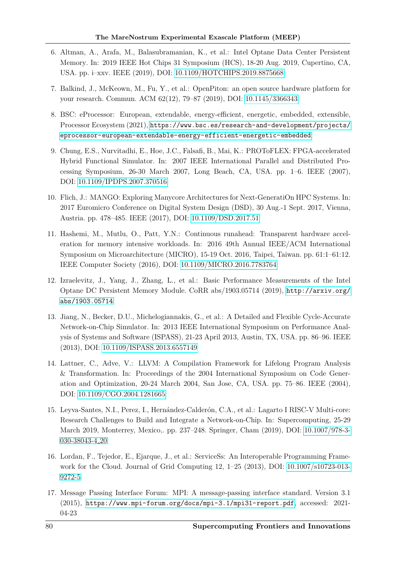- <span id="page-18-9"></span>6. Altman, A., Arafa, M., Balasubramanian, K., et al.: Intel Optane Data Center Persistent Memory. In: 2019 IEEE Hot Chips 31 Symposium (HCS), 18-20 Aug. 2019, Cupertino, CA, USA. pp. i–xxv. IEEE (2019), DOI: [10.1109/HOTCHIPS.2019.8875668](http://dx.doi.org/10.1109/HOTCHIPS.2019.8875668)
- <span id="page-18-7"></span>7. Balkind, J., McKeown, M., Fu, Y., et al.: OpenPiton: an open source hardware platform for your research. Commun. ACM 62(12), 79–87 (2019), DOI: [10.1145/3366343](http://dx.doi.org/10.1145/3366343)
- <span id="page-18-5"></span>8. BSC: eProcessor: European, extendable, energy-efficient, energetic, embedded, extensible, Processor Ecosystem (2021), [https://www.bsc.es/research-and-development/projects/](https://www.bsc.es/research-and-development/projects/eprocessor-european-extendable-energy-efficient-energetic-embedded) [eprocessor-european-extendable-energy-efficient-energetic-embedded](https://www.bsc.es/research-and-development/projects/eprocessor-european-extendable-energy-efficient-energetic-embedded)
- <span id="page-18-10"></span>9. Chung, E.S., Nurvitadhi, E., Hoe, J.C., Falsafi, B., Mai, K.: PROToFLEX: FPGA-accelerated Hybrid Functional Simulator. In: 2007 IEEE International Parallel and Distributed Processing Symposium, 26-30 March 2007, Long Beach, CA, USA. pp. 1–6. IEEE (2007), DOI: [10.1109/IPDPS.2007.370516](http://dx.doi.org/10.1109/IPDPS.2007.370516)
- <span id="page-18-11"></span>10. Flich, J.: MANGO: Exploring Manycore Architectures for Next-GeneratiOn HPC Systems. In: 2017 Euromicro Conference on Digital System Design (DSD), 30 Aug.-1 Sept. 2017, Vienna, Austria. pp. 478–485. IEEE (2017), DOI: [10.1109/DSD.2017.51](http://dx.doi.org/10.1109/DSD.2017.51)
- <span id="page-18-3"></span>11. Hashemi, M., Mutlu, O., Patt, Y.N.: Continuous runahead: Transparent hardware acceleration for memory intensive workloads. In: 2016 49th Annual IEEE/ACM International Symposium on Microarchitecture (MICRO), 15-19 Oct. 2016, Taipei, Taiwan. pp. 61:1–61:12. IEEE Computer Society (2016), DOI: [10.1109/MICRO.2016.7783764](http://dx.doi.org/10.1109/MICRO.2016.7783764)
- <span id="page-18-8"></span>12. Izraelevitz, J., Yang, J., Zhang, L., et al.: Basic Performance Measurements of the Intel Optane DC Persistent Memory Module. CoRR abs/1903.05714 (2019), [http://arxiv.org/](http://arxiv.org/abs/1903.05714) [abs/1903.05714](http://arxiv.org/abs/1903.05714)
- <span id="page-18-4"></span>13. Jiang, N., Becker, D.U., Michelogiannakis, G., et al.: A Detailed and Flexible Cycle-Accurate Network-on-Chip Simulator. In: 2013 IEEE International Symposium on Performance Analysis of Systems and Software (ISPASS), 21-23 April 2013, Austin, TX, USA. pp. 86–96. IEEE (2013), DOI: [10.1109/ISPASS.2013.6557149](http://dx.doi.org/10.1109/ISPASS.2013.6557149)
- <span id="page-18-1"></span>14. Lattner, C., Adve, V.: LLVM: A Compilation Framework for Lifelong Program Analysis & Transformation. In: Proceedings of the 2004 International Symposium on Code Generation and Optimization, 20-24 March 2004, San Jose, CA, USA. pp. 75–86. IEEE (2004), DOI: [10.1109/CGO.2004.1281665](http://dx.doi.org/10.1109/CGO.2004.1281665)
- <span id="page-18-6"></span>15. Leyva-Santes, N.I., Perez, I., Hernández-Calderón, C.A., et al.: Lagarto I RISC-V Multi-core: Research Challenges to Build and Integrate a Network-on-Chip. In: Supercomputing, 25-29 March 2019, Monterrey, Mexico,. pp. 237–248. Springer, Cham (2019), DOI: [10.1007/978-3-](http://dx.doi.org/10.1007/978-3-030-38043-4_20) [030-38043-4](http://dx.doi.org/10.1007/978-3-030-38043-4_20) 20
- <span id="page-18-0"></span>16. Lordan, F., Tejedor, E., Ejarque, J., et al.: ServiceSs: An Interoperable Programming Framework for the Cloud. Journal of Grid Computing 12, 1–25 (2013), DOI: [10.1007/s10723-013-](http://dx.doi.org/10.1007/s10723-013-9272-5) [9272-5](http://dx.doi.org/10.1007/s10723-013-9272-5)
- <span id="page-18-2"></span>17. Message Passing Interface Forum: MPI: A message-passing interface standard. Version 3.1 (2015), <https://www.mpi-forum.org/docs/mpi-3.1/mpi31-report.pdf>, accessed: 2021- 04-23